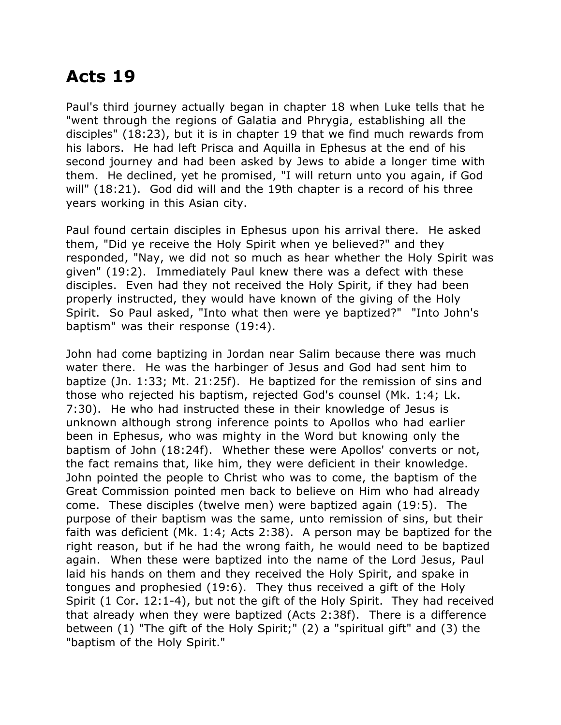## **Acts 19**

Paul's third journey actually began in chapter 18 when Luke tells that he "went through the regions of Galatia and Phrygia, establishing all the disciples" (18:23), but it is in chapter 19 that we find much rewards from his labors. He had left Prisca and Aquilla in Ephesus at the end of his second journey and had been asked by Jews to abide a longer time with them. He declined, yet he promised, "I will return unto you again, if God will" (18:21). God did will and the 19th chapter is a record of his three years working in this Asian city.

Paul found certain disciples in Ephesus upon his arrival there. He asked them, "Did ye receive the Holy Spirit when ye believed?" and they responded, "Nay, we did not so much as hear whether the Holy Spirit was given" (19:2). Immediately Paul knew there was a defect with these disciples. Even had they not received the Holy Spirit, if they had been properly instructed, they would have known of the giving of the Holy Spirit. So Paul asked, "Into what then were ye baptized?" "Into John's baptism" was their response (19:4).

John had come baptizing in Jordan near Salim because there was much water there. He was the harbinger of Jesus and God had sent him to baptize (Jn. 1:33; Mt. 21:25f). He baptized for the remission of sins and those who rejected his baptism, rejected God's counsel (Mk. 1:4; Lk. 7:30). He who had instructed these in their knowledge of Jesus is unknown although strong inference points to Apollos who had earlier been in Ephesus, who was mighty in the Word but knowing only the baptism of John (18:24f). Whether these were Apollos' converts or not, the fact remains that, like him, they were deficient in their knowledge. John pointed the people to Christ who was to come, the baptism of the Great Commission pointed men back to believe on Him who had already come. These disciples (twelve men) were baptized again (19:5). The purpose of their baptism was the same, unto remission of sins, but their faith was deficient (Mk. 1:4; Acts 2:38). A person may be baptized for the right reason, but if he had the wrong faith, he would need to be baptized again. When these were baptized into the name of the Lord Jesus, Paul laid his hands on them and they received the Holy Spirit, and spake in tongues and prophesied (19:6). They thus received a gift of the Holy Spirit (1 Cor. 12:1-4), but not the gift of the Holy Spirit. They had received that already when they were baptized (Acts 2:38f). There is a difference between (1) "The gift of the Holy Spirit;" (2) a "spiritual gift" and (3) the "baptism of the Holy Spirit."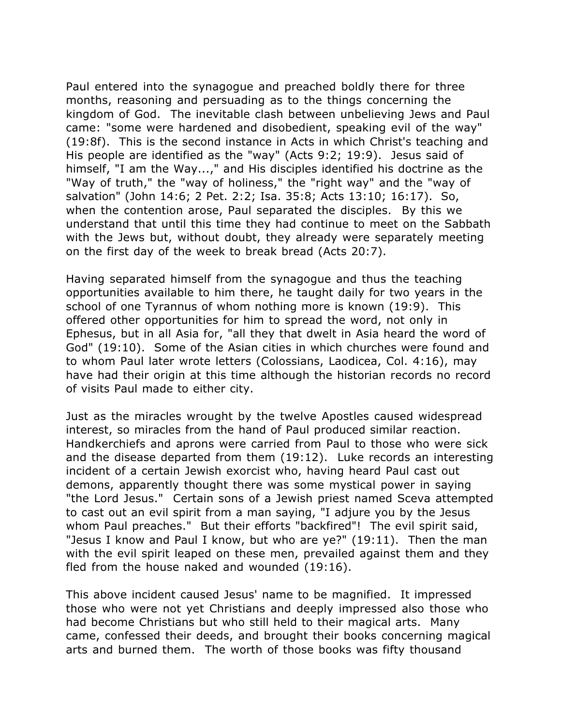Paul entered into the synagogue and preached boldly there for three months, reasoning and persuading as to the things concerning the kingdom of God. The inevitable clash between unbelieving Jews and Paul came: "some were hardened and disobedient, speaking evil of the way" (19:8f). This is the second instance in Acts in which Christ's teaching and His people are identified as the "way" (Acts 9:2; 19:9). Jesus said of himself, "I am the Way...," and His disciples identified his doctrine as the "Way of truth," the "way of holiness," the "right way" and the "way of salvation" (John 14:6; 2 Pet. 2:2; Isa. 35:8; Acts 13:10; 16:17). So, when the contention arose, Paul separated the disciples. By this we understand that until this time they had continue to meet on the Sabbath with the Jews but, without doubt, they already were separately meeting on the first day of the week to break bread (Acts 20:7).

Having separated himself from the synagogue and thus the teaching opportunities available to him there, he taught daily for two years in the school of one Tyrannus of whom nothing more is known (19:9). This offered other opportunities for him to spread the word, not only in Ephesus, but in all Asia for, "all they that dwelt in Asia heard the word of God" (19:10). Some of the Asian cities in which churches were found and to whom Paul later wrote letters (Colossians, Laodicea, Col. 4:16), may have had their origin at this time although the historian records no record of visits Paul made to either city.

Just as the miracles wrought by the twelve Apostles caused widespread interest, so miracles from the hand of Paul produced similar reaction. Handkerchiefs and aprons were carried from Paul to those who were sick and the disease departed from them (19:12). Luke records an interesting incident of a certain Jewish exorcist who, having heard Paul cast out demons, apparently thought there was some mystical power in saying "the Lord Jesus." Certain sons of a Jewish priest named Sceva attempted to cast out an evil spirit from a man saying, "I adjure you by the Jesus whom Paul preaches." But their efforts "backfired"! The evil spirit said, "Jesus I know and Paul I know, but who are ye?" (19:11). Then the man with the evil spirit leaped on these men, prevailed against them and they fled from the house naked and wounded (19:16).

This above incident caused Jesus' name to be magnified. It impressed those who were not yet Christians and deeply impressed also those who had become Christians but who still held to their magical arts. Many came, confessed their deeds, and brought their books concerning magical arts and burned them. The worth of those books was fifty thousand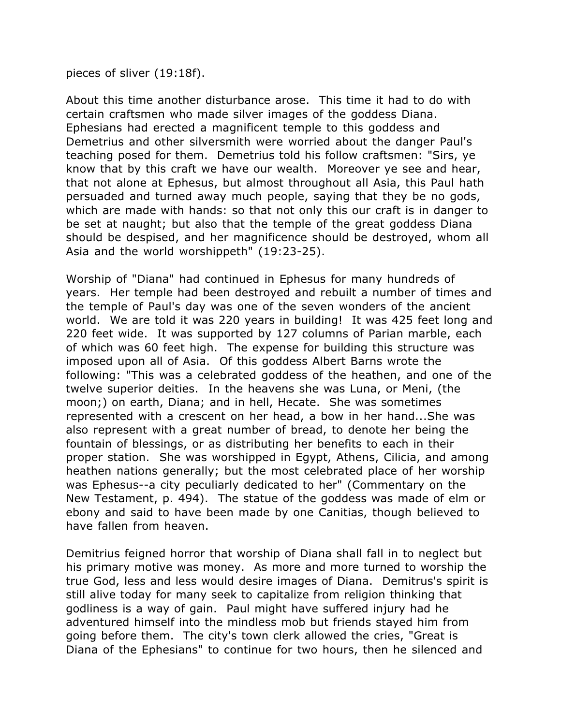pieces of sliver (19:18f).

About this time another disturbance arose. This time it had to do with certain craftsmen who made silver images of the goddess Diana. Ephesians had erected a magnificent temple to this goddess and Demetrius and other silversmith were worried about the danger Paul's teaching posed for them. Demetrius told his follow craftsmen: "Sirs, ye know that by this craft we have our wealth. Moreover ye see and hear, that not alone at Ephesus, but almost throughout all Asia, this Paul hath persuaded and turned away much people, saying that they be no gods, which are made with hands: so that not only this our craft is in danger to be set at naught; but also that the temple of the great goddess Diana should be despised, and her magnificence should be destroyed, whom all Asia and the world worshippeth" (19:23-25).

Worship of "Diana" had continued in Ephesus for many hundreds of years. Her temple had been destroyed and rebuilt a number of times and the temple of Paul's day was one of the seven wonders of the ancient world. We are told it was 220 years in building! It was 425 feet long and 220 feet wide. It was supported by 127 columns of Parian marble, each of which was 60 feet high. The expense for building this structure was imposed upon all of Asia. Of this goddess Albert Barns wrote the following: "This was a celebrated goddess of the heathen, and one of the twelve superior deities. In the heavens she was Luna, or Meni, (the moon;) on earth, Diana; and in hell, Hecate. She was sometimes represented with a crescent on her head, a bow in her hand...She was also represent with a great number of bread, to denote her being the fountain of blessings, or as distributing her benefits to each in their proper station. She was worshipped in Egypt, Athens, Cilicia, and among heathen nations generally; but the most celebrated place of her worship was Ephesus--a city peculiarly dedicated to her" (Commentary on the New Testament, p. 494). The statue of the goddess was made of elm or ebony and said to have been made by one Canitias, though believed to have fallen from heaven.

Demitrius feigned horror that worship of Diana shall fall in to neglect but his primary motive was money. As more and more turned to worship the true God, less and less would desire images of Diana. Demitrus's spirit is still alive today for many seek to capitalize from religion thinking that godliness is a way of gain. Paul might have suffered injury had he adventured himself into the mindless mob but friends stayed him from going before them. The city's town clerk allowed the cries, "Great is Diana of the Ephesians" to continue for two hours, then he silenced and